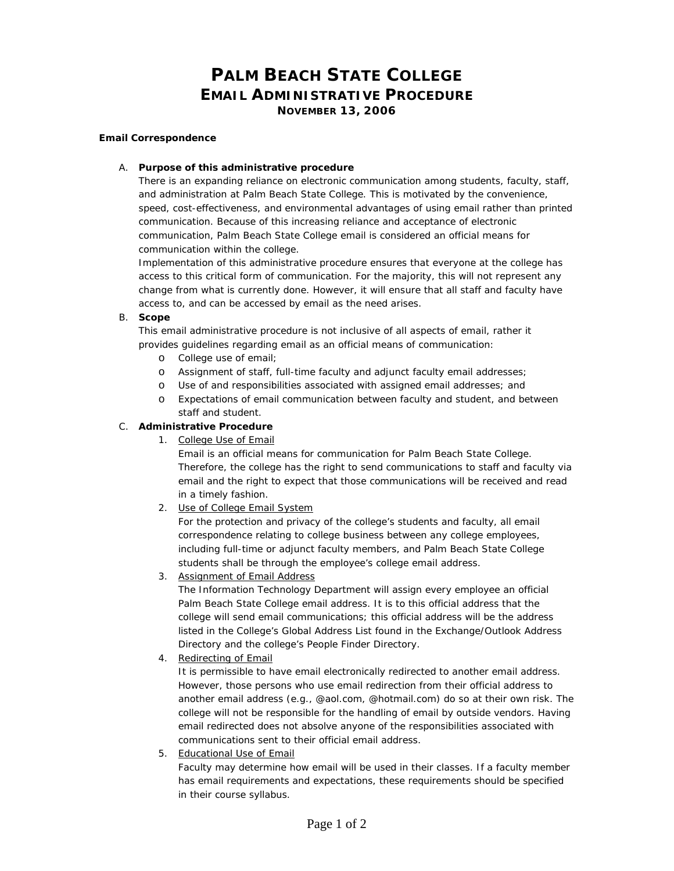# **PALM BEACH STATE COLLEGE EMAIL ADMINISTRATIVE PROCEDURE NOVEMBER 13, 2006**

#### **Email Correspondence**

#### A. **Purpose of this administrative procedure**

There is an expanding reliance on electronic communication among students, faculty, staff, and administration at Palm Beach State College. This is motivated by the convenience, speed, cost-effectiveness, and environmental advantages of using email rather than printed communication. Because of this increasing reliance and acceptance of electronic communication, Palm Beach State College email is considered an official means for communication within the college.

Implementation of this administrative procedure ensures that everyone at the college has access to this critical form of communication. For the majority, this will not represent any change from what is currently done. However, it will ensure that all staff and faculty have access to, and can be accessed by email as the need arises.

#### B. **Scope**

This email administrative procedure is not inclusive of all aspects of email, rather it provides guidelines regarding email as an official means of communication:

- o College use of email;
- o Assignment of staff, full-time faculty and adjunct faculty email addresses;
- o Use of and responsibilities associated with assigned email addresses; and
- o Expectations of email communication between faculty and student, and between staff and student.

#### C. **Administrative Procedure**

1. College Use of Email

Email is an official means for communication for Palm Beach State College. Therefore, the college has the right to send communications to staff and faculty via email and the right to expect that those communications will be received and read in a timely fashion.

2. Use of College Email System

For the protection and privacy of the college's students and faculty, all email correspondence relating to college business between any college employees, including full-time or adjunct faculty members, and Palm Beach State College students shall be through the employee's college email address.

3. Assignment of Email Address

The Information Technology Department will assign every employee an official Palm Beach State College email address. It is to this official address that the college will send email communications; this official address will be the address listed in the College's Global Address List found in the Exchange/Outlook Address Directory and the college's People Finder Directory.

4. Redirecting of Email

It is permissible to have email electronically redirected to another email address. However, those persons who use email redirection from their official address to another email address (e.g., @aol.com, @hotmail.com) do so at their own risk. The college will not be responsible for the handling of email by outside vendors. Having email redirected does not absolve anyone of the responsibilities associated with communications sent to their official email address.

5. Educational Use of Email

Faculty may determine how email will be used in their classes. If a faculty member has email requirements and expectations, these requirements should be specified in their course syllabus.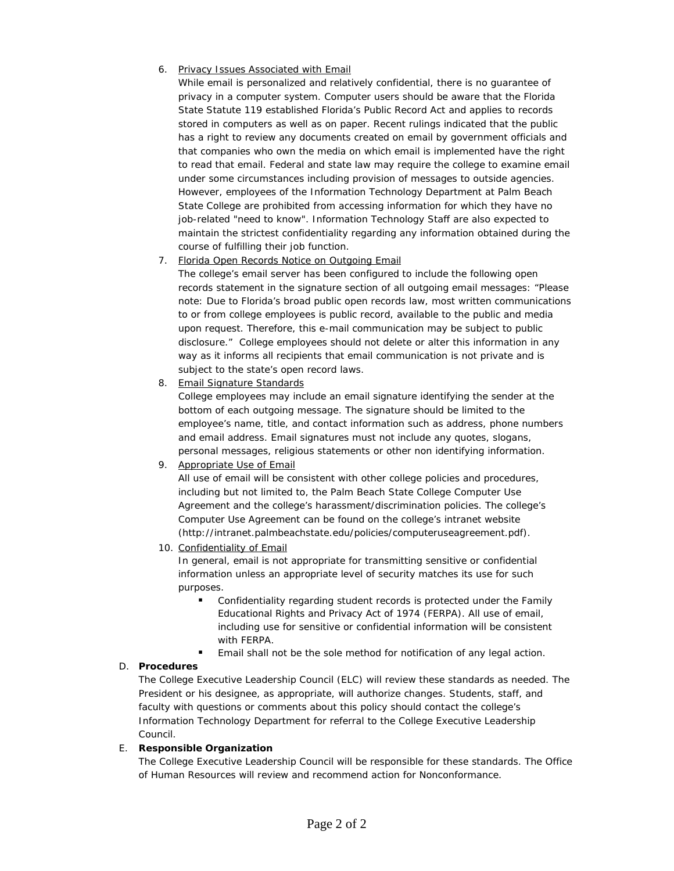#### 6. Privacy Issues Associated with Email

While email is personalized and relatively confidential, there is no guarantee of privacy in a computer system. Computer users should be aware that the Florida State Statute 119 established Florida's Public Record Act and applies to records stored in computers as well as on paper. Recent rulings indicated that the public has a right to review any documents created on email by government officials and that companies who own the media on which email is implemented have the right to read that email. Federal and state law may require the college to examine email under some circumstances including provision of messages to outside agencies. However, employees of the Information Technology Department at Palm Beach State College are prohibited from accessing information for which they have no job-related "need to know". Information Technology Staff are also expected to maintain the strictest confidentiality regarding any information obtained during the course of fulfilling their job function.

#### 7. Florida Open Records Notice on Outgoing Email

The college's email server has been configured to include the following open records statement in the signature section of all outgoing email messages: "Please note: Due to Florida's broad public open records law, most written communications to or from college employees is public record, available to the public and media upon request. Therefore, this e-mail communication may be subject to public disclosure." College employees should not delete or alter this information in any way as it informs all recipients that email communication is not private and is subject to the state's open record laws.

8. Email Signature Standards

College employees may include an email signature identifying the sender at the bottom of each outgoing message. The signature should be limited to the employee's name, title, and contact information such as address, phone numbers and email address. Email signatures must not include any quotes, slogans, personal messages, religious statements or other non identifying information.

#### 9. Appropriate Use of Email

All use of email will be consistent with other college policies and procedures, including but not limited to, the Palm Beach State College Computer Use Agreement and the college's harassment/discrimination policies. The college's Computer Use Agreement can be found on the college's intranet website (http://intranet.palmbeachstate.edu/policies/computeruseagreement.pdf).

#### 10. Confidentiality of Email

In general, email is not appropriate for transmitting sensitive or confidential information unless an appropriate level of security matches its use for such purposes.

- Confidentiality regarding student records is protected under the Family Educational Rights and Privacy Act of 1974 (FERPA). All use of email, including use for sensitive or confidential information will be consistent with FERPA.
- Email shall not be the sole method for notification of any legal action.

### D. **Procedures**

The College Executive Leadership Council (ELC) will review these standards as needed. The President or his designee, as appropriate, will authorize changes. Students, staff, and faculty with questions or comments about this policy should contact the college's Information Technology Department for referral to the College Executive Leadership Council.

#### E. **Responsible Organization**

The College Executive Leadership Council will be responsible for these standards. The Office of Human Resources will review and recommend action for Nonconformance.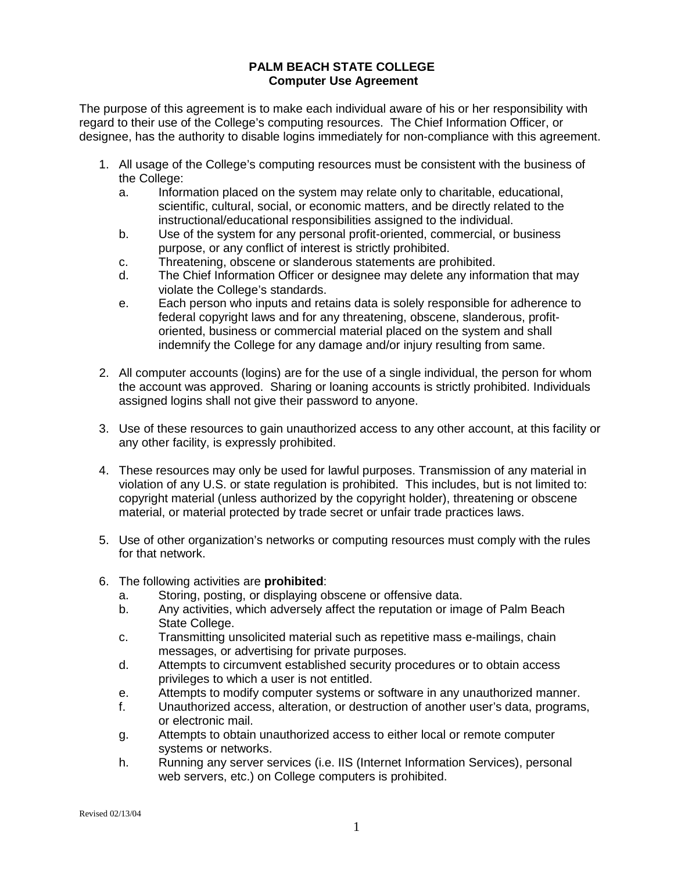### **PALM BEACH STATE COLLEGE Computer Use Agreement**

The purpose of this agreement is to make each individual aware of his or her responsibility with regard to their use of the College's computing resources. The Chief Information Officer, or designee, has the authority to disable logins immediately for non-compliance with this agreement.

- 1. All usage of the College's computing resources must be consistent with the business of the College:
	- a. Information placed on the system may relate only to charitable, educational, scientific, cultural, social, or economic matters, and be directly related to the instructional/educational responsibilities assigned to the individual.
	- b. Use of the system for any personal profit-oriented, commercial, or business purpose, or any conflict of interest is strictly prohibited.
	- c. Threatening, obscene or slanderous statements are prohibited.
	- d. The Chief Information Officer or designee may delete any information that may violate the College's standards.
	- e. Each person who inputs and retains data is solely responsible for adherence to federal copyright laws and for any threatening, obscene, slanderous, profitoriented, business or commercial material placed on the system and shall indemnify the College for any damage and/or injury resulting from same.
- 2. All computer accounts (logins) are for the use of a single individual, the person for whom the account was approved. Sharing or loaning accounts is strictly prohibited. Individuals assigned logins shall not give their password to anyone.
- 3. Use of these resources to gain unauthorized access to any other account, at this facility or any other facility, is expressly prohibited.
- 4. These resources may only be used for lawful purposes. Transmission of any material in violation of any U.S. or state regulation is prohibited. This includes, but is not limited to: copyright material (unless authorized by the copyright holder), threatening or obscene material, or material protected by trade secret or unfair trade practices laws.
- 5. Use of other organization's networks or computing resources must comply with the rules for that network.
- 6. The following activities are **prohibited**:
	- a. Storing, posting, or displaying obscene or offensive data.
	- b. Any activities, which adversely affect the reputation or image of Palm Beach State College.
	- c. Transmitting unsolicited material such as repetitive mass e-mailings, chain messages, or advertising for private purposes.
	- d. Attempts to circumvent established security procedures or to obtain access privileges to which a user is not entitled.
	- e. Attempts to modify computer systems or software in any unauthorized manner.
	- f. Unauthorized access, alteration, or destruction of another user's data, programs, or electronic mail.
	- g. Attempts to obtain unauthorized access to either local or remote computer systems or networks.
	- h. Running any server services (i.e. IIS (Internet Information Services), personal web servers, etc.) on College computers is prohibited.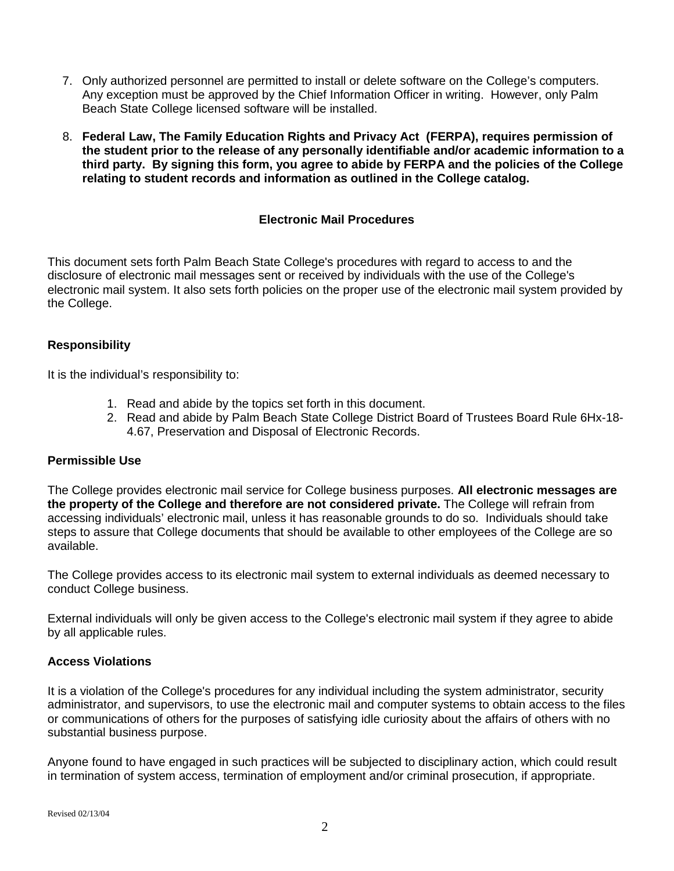- 7. Only authorized personnel are permitted to install or delete software on the College's computers. Any exception must be approved by the Chief Information Officer in writing. However, only Palm Beach State College licensed software will be installed.
- 8. **Federal Law, The Family Education Rights and Privacy Act (FERPA), requires permission of the student prior to the release of any personally identifiable and/or academic information to a third party. By signing this form, you agree to abide by FERPA and the policies of the College relating to student records and information as outlined in the College catalog.**

# **Electronic Mail Procedures**

This document sets forth Palm Beach State College's procedures with regard to access to and the disclosure of electronic mail messages sent or received by individuals with the use of the College's electronic mail system. It also sets forth policies on the proper use of the electronic mail system provided by the College.

# **Responsibility**

It is the individual's responsibility to:

- 1. Read and abide by the topics set forth in this document.
- 2. Read and abide by Palm Beach State College District Board of Trustees Board Rule 6Hx-18- 4.67, Preservation and Disposal of Electronic Records.

### **Permissible Use**

The College provides electronic mail service for College business purposes. **All electronic messages are the property of the College and therefore are not considered private.** The College will refrain from accessing individuals' electronic mail, unless it has reasonable grounds to do so. Individuals should take steps to assure that College documents that should be available to other employees of the College are so available.

The College provides access to its electronic mail system to external individuals as deemed necessary to conduct College business.

External individuals will only be given access to the College's electronic mail system if they agree to abide by all applicable rules.

### **Access Violations**

It is a violation of the College's procedures for any individual including the system administrator, security administrator, and supervisors, to use the electronic mail and computer systems to obtain access to the files or communications of others for the purposes of satisfying idle curiosity about the affairs of others with no substantial business purpose.

Anyone found to have engaged in such practices will be subjected to disciplinary action, which could result in termination of system access, termination of employment and/or criminal prosecution, if appropriate.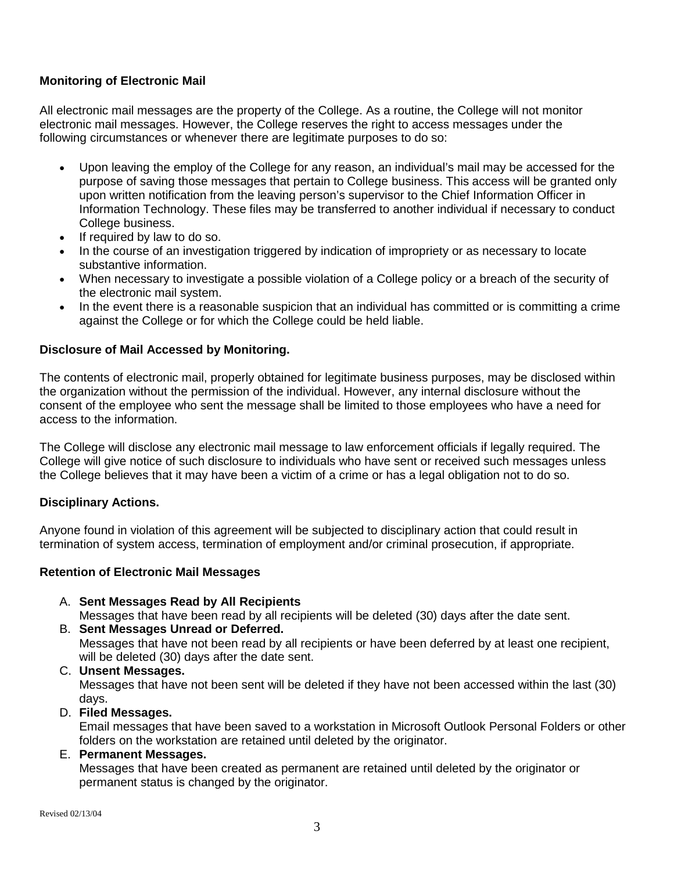# **Monitoring of Electronic Mail**

All electronic mail messages are the property of the College. As a routine, the College will not monitor electronic mail messages. However, the College reserves the right to access messages under the following circumstances or whenever there are legitimate purposes to do so:

- Upon leaving the employ of the College for any reason, an individual's mail may be accessed for the purpose of saving those messages that pertain to College business. This access will be granted only upon written notification from the leaving person's supervisor to the Chief Information Officer in Information Technology. These files may be transferred to another individual if necessary to conduct College business.
- If required by law to do so.
- In the course of an investigation triggered by indication of impropriety or as necessary to locate substantive information.
- When necessary to investigate a possible violation of a College policy or a breach of the security of the electronic mail system.
- In the event there is a reasonable suspicion that an individual has committed or is committing a crime against the College or for which the College could be held liable.

### **Disclosure of Mail Accessed by Monitoring.**

The contents of electronic mail, properly obtained for legitimate business purposes, may be disclosed within the organization without the permission of the individual. However, any internal disclosure without the consent of the employee who sent the message shall be limited to those employees who have a need for access to the information.

The College will disclose any electronic mail message to law enforcement officials if legally required. The College will give notice of such disclosure to individuals who have sent or received such messages unless the College believes that it may have been a victim of a crime or has a legal obligation not to do so.

### **Disciplinary Actions.**

Anyone found in violation of this agreement will be subjected to disciplinary action that could result in termination of system access, termination of employment and/or criminal prosecution, if appropriate.

### **Retention of Electronic Mail Messages**

A. **Sent Messages Read by All Recipients** 

Messages that have been read by all recipients will be deleted (30) days after the date sent.

- B. **Sent Messages Unread or Deferred.**  Messages that have not been read by all recipients or have been deferred by at least one recipient, will be deleted (30) days after the date sent.
- C. **Unsent Messages.**  Messages that have not been sent will be deleted if they have not been accessed within the last (30) days.
- D. **Filed Messages.**

Email messages that have been saved to a workstation in Microsoft Outlook Personal Folders or other folders on the workstation are retained until deleted by the originator.

E. **Permanent Messages.**

Messages that have been created as permanent are retained until deleted by the originator or permanent status is changed by the originator.